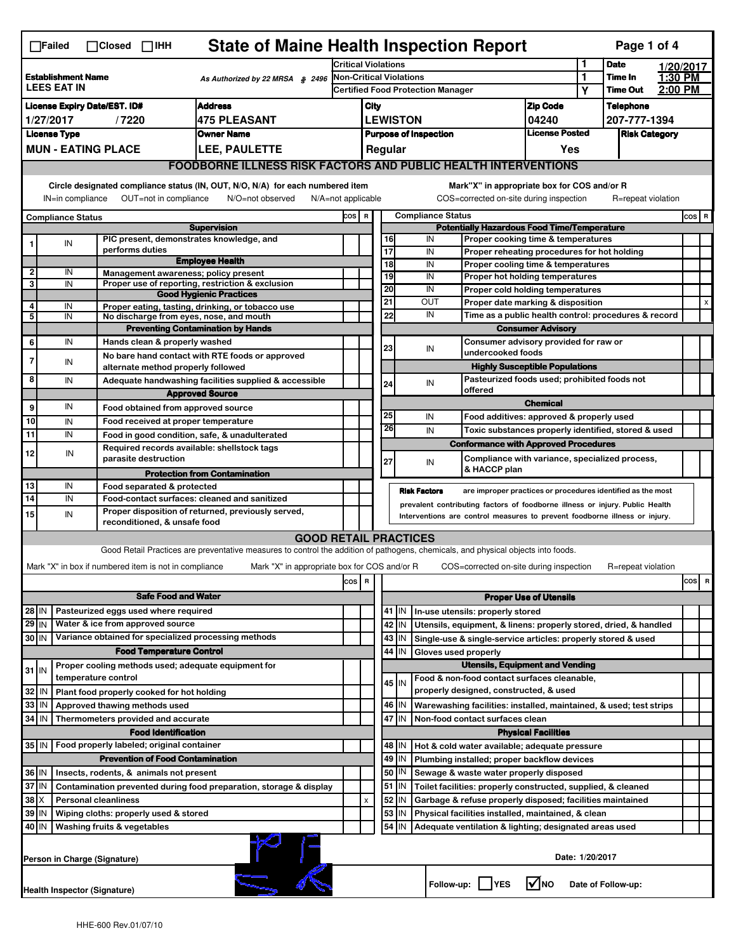| <b>State of Maine Health Inspection Report</b><br>Page 1 of 4<br>$\Box$ Failed<br>$\Box$ Closed $\Box$ IHH                                                                                                                                                            |                                                                       |  |                                                       |                                                                                                                                   |       |                                                    |                                                                                                                                                            |                                                                          |                     |                                                                  |                                                                                   |                       |                  |                      |  |           |
|-----------------------------------------------------------------------------------------------------------------------------------------------------------------------------------------------------------------------------------------------------------------------|-----------------------------------------------------------------------|--|-------------------------------------------------------|-----------------------------------------------------------------------------------------------------------------------------------|-------|----------------------------------------------------|------------------------------------------------------------------------------------------------------------------------------------------------------------|--------------------------------------------------------------------------|---------------------|------------------------------------------------------------------|-----------------------------------------------------------------------------------|-----------------------|------------------|----------------------|--|-----------|
| <b>Establishment Name</b><br>As Authorized by 22 MRSA § 2496<br><b>LEES EAT IN</b>                                                                                                                                                                                    |                                                                       |  |                                                       | <b>Critical Violations</b>                                                                                                        |       |                                                    |                                                                                                                                                            |                                                                          |                     |                                                                  | 1                                                                                 | <b>Date</b>           |                  | 1/20/2017            |  |           |
|                                                                                                                                                                                                                                                                       |                                                                       |  |                                                       | <b>Non-Critical Violations</b><br><b>Certified Food Protection Manager</b>                                                        |       |                                                    |                                                                                                                                                            |                                                                          |                     | 1<br>Υ                                                           | Time In<br><b>Time Out</b>                                                        | 1:30 PM<br>2:00 PM    |                  |                      |  |           |
| <b>Address</b><br><b>License Expiry Date/EST. ID#</b>                                                                                                                                                                                                                 |                                                                       |  |                                                       |                                                                                                                                   | City  |                                                    |                                                                                                                                                            |                                                                          | <b>Zip Code</b>     |                                                                  |                                                                                   |                       | <b>Telephone</b> |                      |  |           |
| 1/27/2017<br><b>475 PLEASANT</b><br>/7220                                                                                                                                                                                                                             |                                                                       |  |                                                       |                                                                                                                                   |       | <b>LEWISTON</b>                                    |                                                                                                                                                            |                                                                          |                     |                                                                  |                                                                                   | 04240                 |                  | 207-777-1394         |  |           |
| <b>License Type</b><br><b>Owner Name</b>                                                                                                                                                                                                                              |                                                                       |  |                                                       |                                                                                                                                   |       |                                                    | <b>Purpose of Inspection</b>                                                                                                                               |                                                                          |                     |                                                                  |                                                                                   | <b>License Posted</b> |                  | <b>Risk Category</b> |  |           |
| <b>MUN - EATING PLACE</b><br>LEE, PAULETTE                                                                                                                                                                                                                            |                                                                       |  |                                                       |                                                                                                                                   |       | Regular<br>Yes                                     |                                                                                                                                                            |                                                                          |                     |                                                                  |                                                                                   |                       |                  |                      |  |           |
|                                                                                                                                                                                                                                                                       | <b>FOODBORNE ILLNESS RISK FACTORS AND PUBLIC HEALTH INTERVENTIONS</b> |  |                                                       |                                                                                                                                   |       |                                                    |                                                                                                                                                            |                                                                          |                     |                                                                  |                                                                                   |                       |                  |                      |  |           |
| Circle designated compliance status (IN, OUT, N/O, N/A) for each numbered item<br>Mark"X" in appropriate box for COS and/or R<br>OUT=not in compliance<br>COS=corrected on-site during inspection<br>N/O=not observed<br>$N/A = not$ applicable<br>R=repeat violation |                                                                       |  |                                                       |                                                                                                                                   |       |                                                    |                                                                                                                                                            |                                                                          |                     |                                                                  |                                                                                   |                       |                  |                      |  |           |
| IN=in compliance<br><b>Compliance Status</b>                                                                                                                                                                                                                          |                                                                       |  |                                                       |                                                                                                                                   |       | COS R<br><b>Compliance Status</b>                  |                                                                                                                                                            |                                                                          |                     |                                                                  |                                                                                   |                       |                  |                      |  | $cos$ R   |
|                                                                                                                                                                                                                                                                       |                                                                       |  |                                                       | <b>Supervision</b>                                                                                                                |       | <b>Potentially Hazardous Food Time/Temperature</b> |                                                                                                                                                            |                                                                          |                     |                                                                  |                                                                                   |                       |                  |                      |  |           |
|                                                                                                                                                                                                                                                                       | IN                                                                    |  | performs duties                                       | PIC present, demonstrates knowledge, and                                                                                          |       |                                                    |                                                                                                                                                            | 16                                                                       |                     | IN                                                               | Proper cooking time & temperatures                                                |                       |                  |                      |  |           |
|                                                                                                                                                                                                                                                                       |                                                                       |  |                                                       | <b>Employee Health</b>                                                                                                            |       |                                                    |                                                                                                                                                            | 17<br>18                                                                 |                     | IN<br>IN                                                         | Proper reheating procedures for hot holding<br>Proper cooling time & temperatures |                       |                  |                      |  |           |
| $\mathbf{2}$                                                                                                                                                                                                                                                          | IN                                                                    |  |                                                       | Management awareness; policy present                                                                                              |       |                                                    |                                                                                                                                                            | 19                                                                       |                     | IN                                                               | Proper hot holding temperatures                                                   |                       |                  |                      |  |           |
| 3                                                                                                                                                                                                                                                                     | IN                                                                    |  |                                                       | Proper use of reporting, restriction & exclusion<br><b>Good Hygienic Practices</b>                                                |       |                                                    |                                                                                                                                                            | 20                                                                       |                     | IN                                                               | Proper cold holding temperatures                                                  |                       |                  |                      |  |           |
| 4                                                                                                                                                                                                                                                                     | IN                                                                    |  |                                                       | Proper eating, tasting, drinking, or tobacco use                                                                                  |       |                                                    |                                                                                                                                                            | 21                                                                       |                     | OUT                                                              | Proper date marking & disposition                                                 |                       |                  |                      |  | X         |
| 5                                                                                                                                                                                                                                                                     | IN                                                                    |  |                                                       | No discharge from eyes, nose, and mouth                                                                                           |       |                                                    |                                                                                                                                                            | 22                                                                       |                     | IN                                                               | Time as a public health control: procedures & record                              |                       |                  |                      |  |           |
|                                                                                                                                                                                                                                                                       |                                                                       |  |                                                       | <b>Preventing Contamination by Hands</b>                                                                                          |       |                                                    |                                                                                                                                                            |                                                                          |                     |                                                                  | <b>Consumer Advisory</b>                                                          |                       |                  |                      |  |           |
| 6                                                                                                                                                                                                                                                                     | IN                                                                    |  | Hands clean & properly washed                         |                                                                                                                                   |       |                                                    |                                                                                                                                                            | 23                                                                       |                     | IN                                                               | Consumer advisory provided for raw or<br>undercooked foods                        |                       |                  |                      |  |           |
| 7                                                                                                                                                                                                                                                                     | IN                                                                    |  | alternate method properly followed                    | No bare hand contact with RTE foods or approved                                                                                   |       |                                                    |                                                                                                                                                            |                                                                          |                     |                                                                  | <b>Highly Susceptible Populations</b>                                             |                       |                  |                      |  |           |
| 8                                                                                                                                                                                                                                                                     | IN                                                                    |  |                                                       | Adequate handwashing facilities supplied & accessible                                                                             |       |                                                    |                                                                                                                                                            | 24                                                                       |                     | IN                                                               | Pasteurized foods used; prohibited foods not                                      |                       |                  |                      |  |           |
|                                                                                                                                                                                                                                                                       |                                                                       |  |                                                       | <b>Approved Source</b>                                                                                                            |       |                                                    |                                                                                                                                                            |                                                                          |                     |                                                                  | offered                                                                           |                       |                  |                      |  |           |
| 9                                                                                                                                                                                                                                                                     | IN                                                                    |  | Food obtained from approved source                    |                                                                                                                                   |       |                                                    |                                                                                                                                                            |                                                                          |                     |                                                                  |                                                                                   | <b>Chemical</b>       |                  |                      |  |           |
| 10                                                                                                                                                                                                                                                                    | IN                                                                    |  | Food received at proper temperature                   |                                                                                                                                   |       |                                                    |                                                                                                                                                            | 25                                                                       |                     | IN                                                               | Food additives: approved & properly used                                          |                       |                  |                      |  |           |
| 11                                                                                                                                                                                                                                                                    | IN                                                                    |  |                                                       | Food in good condition, safe, & unadulterated                                                                                     |       |                                                    |                                                                                                                                                            | 26                                                                       |                     | IN                                                               | Toxic substances properly identified, stored & used                               |                       |                  |                      |  |           |
| 12                                                                                                                                                                                                                                                                    | IN                                                                    |  |                                                       | Required records available: shellstock tags                                                                                       |       |                                                    |                                                                                                                                                            |                                                                          |                     |                                                                  | <b>Conformance with Approved Procedures</b>                                       |                       |                  |                      |  |           |
|                                                                                                                                                                                                                                                                       |                                                                       |  | parasite destruction                                  |                                                                                                                                   |       |                                                    |                                                                                                                                                            | 27                                                                       |                     | IN                                                               | Compliance with variance, specialized process,<br>& HACCP plan                    |                       |                  |                      |  |           |
| 13                                                                                                                                                                                                                                                                    | IN                                                                    |  | Food separated & protected                            | <b>Protection from Contamination</b>                                                                                              |       |                                                    |                                                                                                                                                            |                                                                          |                     |                                                                  |                                                                                   |                       |                  |                      |  |           |
| 14                                                                                                                                                                                                                                                                    | IN                                                                    |  |                                                       | Food-contact surfaces: cleaned and sanitized                                                                                      |       |                                                    |                                                                                                                                                            |                                                                          | <b>Risk Factors</b> |                                                                  | are improper practices or procedures identified as the most                       |                       |                  |                      |  |           |
| 15                                                                                                                                                                                                                                                                    | IN                                                                    |  |                                                       | Proper disposition of returned, previously served,                                                                                |       |                                                    | prevalent contributing factors of foodborne illness or injury. Public Health<br>Interventions are control measures to prevent foodborne illness or injury. |                                                                          |                     |                                                                  |                                                                                   |                       |                  |                      |  |           |
|                                                                                                                                                                                                                                                                       |                                                                       |  | reconditioned, & unsafe food                          |                                                                                                                                   |       |                                                    |                                                                                                                                                            |                                                                          |                     |                                                                  |                                                                                   |                       |                  |                      |  |           |
|                                                                                                                                                                                                                                                                       |                                                                       |  |                                                       | <b>GOOD RETAIL PRACTICES</b>                                                                                                      |       |                                                    |                                                                                                                                                            |                                                                          |                     |                                                                  |                                                                                   |                       |                  |                      |  |           |
|                                                                                                                                                                                                                                                                       |                                                                       |  |                                                       | Good Retail Practices are preventative measures to control the addition of pathogens, chemicals, and physical objects into foods. |       |                                                    |                                                                                                                                                            |                                                                          |                     |                                                                  |                                                                                   |                       |                  |                      |  |           |
|                                                                                                                                                                                                                                                                       |                                                                       |  | Mark "X" in box if numbered item is not in compliance | Mark "X" in appropriate box for COS and/or R                                                                                      |       |                                                    |                                                                                                                                                            |                                                                          |                     |                                                                  | COS=corrected on-site during inspection                                           |                       |                  | R=repeat violation   |  |           |
|                                                                                                                                                                                                                                                                       |                                                                       |  |                                                       |                                                                                                                                   | COS R |                                                    |                                                                                                                                                            |                                                                          |                     |                                                                  |                                                                                   |                       |                  |                      |  | cosl<br>R |
|                                                                                                                                                                                                                                                                       |                                                                       |  | <b>Safe Food and Water</b>                            |                                                                                                                                   |       |                                                    | <b>Proper Use of Utensils</b>                                                                                                                              |                                                                          |                     |                                                                  |                                                                                   |                       |                  |                      |  |           |
| $28$ IN<br>Pasteurized eggs used where required                                                                                                                                                                                                                       |                                                                       |  |                                                       |                                                                                                                                   |       |                                                    |                                                                                                                                                            | 41   IN                                                                  |                     |                                                                  | In-use utensils: properly stored                                                  |                       |                  |                      |  |           |
| $29$ IN<br>Water & ice from approved source                                                                                                                                                                                                                           |                                                                       |  |                                                       |                                                                                                                                   |       |                                                    | 42                                                                                                                                                         | IN                                                                       |                     | Utensils, equipment, & linens: properly stored, dried, & handled |                                                                                   |                       |                  |                      |  |           |
| Variance obtained for specialized processing methods<br>30 IN                                                                                                                                                                                                         |                                                                       |  |                                                       |                                                                                                                                   |       |                                                    |                                                                                                                                                            | 43                                                                       | IN                  |                                                                  | Single-use & single-service articles: properly stored & used                      |                       |                  |                      |  |           |
| <b>Food Temperature Control</b>                                                                                                                                                                                                                                       |                                                                       |  |                                                       |                                                                                                                                   |       |                                                    | 44<br>IN<br>Gloves used properly<br><b>Utensils, Equipment and Vending</b>                                                                                 |                                                                          |                     |                                                                  |                                                                                   |                       |                  |                      |  |           |
| $31$ IN                                                                                                                                                                                                                                                               |                                                                       |  |                                                       | Proper cooling methods used; adequate equipment for                                                                               |       |                                                    |                                                                                                                                                            |                                                                          |                     |                                                                  | Food & non-food contact surfaces cleanable,                                       |                       |                  |                      |  |           |
| temperature control<br>32<br>Plant food properly cooked for hot holding<br>IN                                                                                                                                                                                         |                                                                       |  |                                                       |                                                                                                                                   |       |                                                    |                                                                                                                                                            | 45 I IN                                                                  |                     |                                                                  | properly designed, constructed, & used                                            |                       |                  |                      |  |           |
| 33<br>IN<br>Approved thawing methods used                                                                                                                                                                                                                             |                                                                       |  |                                                       |                                                                                                                                   |       |                                                    | 46                                                                                                                                                         | IN<br>Warewashing facilities: installed, maintained, & used; test strips |                     |                                                                  |                                                                                   |                       |                  |                      |  |           |
| 34 IN<br>Thermometers provided and accurate                                                                                                                                                                                                                           |                                                                       |  |                                                       |                                                                                                                                   |       |                                                    | 47 IN                                                                                                                                                      |                                                                          |                     | Non-food contact surfaces clean                                  |                                                                                   |                       |                  |                      |  |           |
| <b>Food Identification</b><br><b>Physical Facilities</b>                                                                                                                                                                                                              |                                                                       |  |                                                       |                                                                                                                                   |       |                                                    |                                                                                                                                                            |                                                                          |                     |                                                                  |                                                                                   |                       |                  |                      |  |           |
| Food properly labeled; original container<br>35 IN<br>48   IN<br>Hot & cold water available; adequate pressure                                                                                                                                                        |                                                                       |  |                                                       |                                                                                                                                   |       |                                                    |                                                                                                                                                            |                                                                          |                     |                                                                  |                                                                                   |                       |                  |                      |  |           |
| <b>Prevention of Food Contamination</b>                                                                                                                                                                                                                               |                                                                       |  |                                                       |                                                                                                                                   |       |                                                    | 49<br>IN<br>Plumbing installed; proper backflow devices                                                                                                    |                                                                          |                     |                                                                  |                                                                                   |                       |                  |                      |  |           |
| 36 IN<br>Insects, rodents, & animals not present                                                                                                                                                                                                                      |                                                                       |  |                                                       |                                                                                                                                   |       |                                                    | 50   IN<br>Sewage & waste water properly disposed                                                                                                          |                                                                          |                     |                                                                  |                                                                                   |                       |                  |                      |  |           |
| 37 IN<br>Contamination prevented during food preparation, storage & display                                                                                                                                                                                           |                                                                       |  |                                                       |                                                                                                                                   |       |                                                    | $51$ $\vert$ IN<br>Toilet facilities: properly constructed, supplied, & cleaned                                                                            |                                                                          |                     |                                                                  |                                                                                   |                       |                  |                      |  |           |
| $38$ $\times$<br><b>Personal cleanliness</b>                                                                                                                                                                                                                          |                                                                       |  |                                                       |                                                                                                                                   |       | $\pmb{\times}$                                     |                                                                                                                                                            | 52<br>IN<br>Garbage & refuse properly disposed; facilities maintained    |                     |                                                                  |                                                                                   |                       |                  |                      |  |           |
| 39<br>ΙN<br>Wiping cloths: properly used & stored                                                                                                                                                                                                                     |                                                                       |  |                                                       |                                                                                                                                   |       |                                                    |                                                                                                                                                            | 53<br>IN<br>Physical facilities installed, maintained, & clean           |                     |                                                                  |                                                                                   |                       |                  |                      |  |           |
| 40 IN                                                                                                                                                                                                                                                                 |                                                                       |  | Washing fruits & vegetables                           |                                                                                                                                   |       |                                                    |                                                                                                                                                            | 54                                                                       | IN                  |                                                                  | Adequate ventilation & lighting; designated areas used                            |                       |                  |                      |  |           |
|                                                                                                                                                                                                                                                                       | Person in Charge (Signature)                                          |  |                                                       |                                                                                                                                   |       |                                                    |                                                                                                                                                            |                                                                          |                     |                                                                  |                                                                                   |                       | Date: 1/20/2017  |                      |  |           |
|                                                                                                                                                                                                                                                                       | Health Inspector (Signature)                                          |  |                                                       |                                                                                                                                   |       |                                                    |                                                                                                                                                            |                                                                          |                     |                                                                  | Follow-up:     YES                                                                | l√lno                 |                  | Date of Follow-up:   |  |           |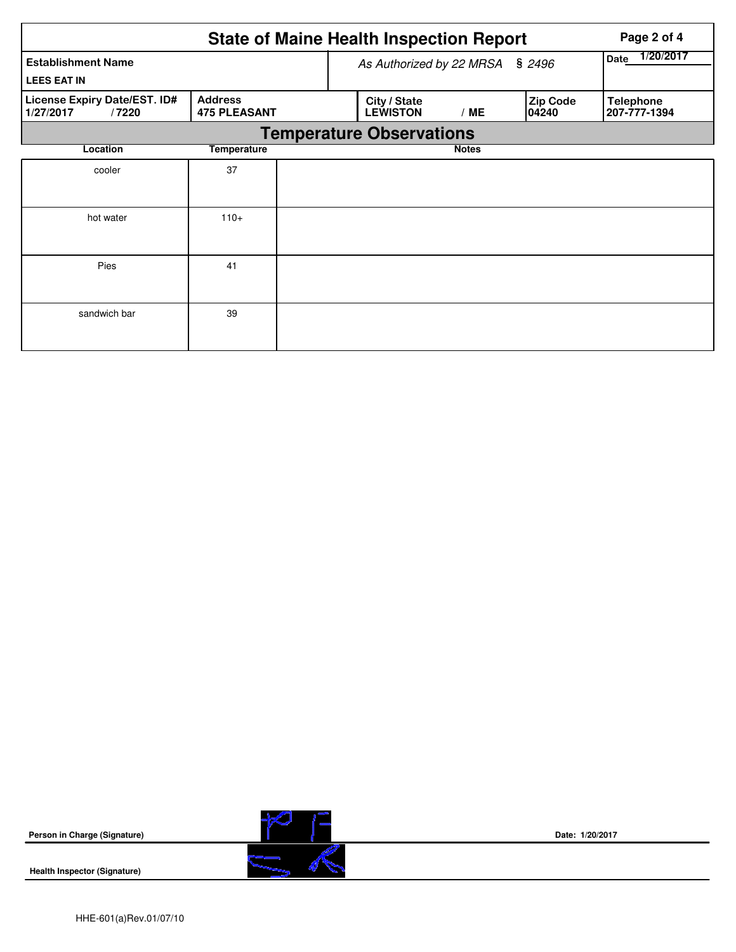|                                                    |                                       |  | <b>State of Maine Health Inspection Report</b> | Page 2 of 4       |                          |                                  |  |  |  |
|----------------------------------------------------|---------------------------------------|--|------------------------------------------------|-------------------|--------------------------|----------------------------------|--|--|--|
| <b>Establishment Name</b><br><b>LEES EAT IN</b>    |                                       |  | As Authorized by 22 MRSA § 2496                | 1/20/2017<br>Date |                          |                                  |  |  |  |
| License Expiry Date/EST. ID#<br>1/27/2017<br>/7220 | <b>Address</b><br><b>475 PLEASANT</b> |  | City / State<br><b>LEWISTON</b>                | /ME               | <b>Zip Code</b><br>04240 | <b>Telephone</b><br>207-777-1394 |  |  |  |
| <b>Temperature Observations</b>                    |                                       |  |                                                |                   |                          |                                  |  |  |  |
| Location                                           | <b>Temperature</b>                    |  |                                                | <b>Notes</b>      |                          |                                  |  |  |  |
| cooler                                             | 37                                    |  |                                                |                   |                          |                                  |  |  |  |
| hot water                                          | $110+$                                |  |                                                |                   |                          |                                  |  |  |  |
| Pies                                               | 41                                    |  |                                                |                   |                          |                                  |  |  |  |
| sandwich bar                                       | 39                                    |  |                                                |                   |                          |                                  |  |  |  |

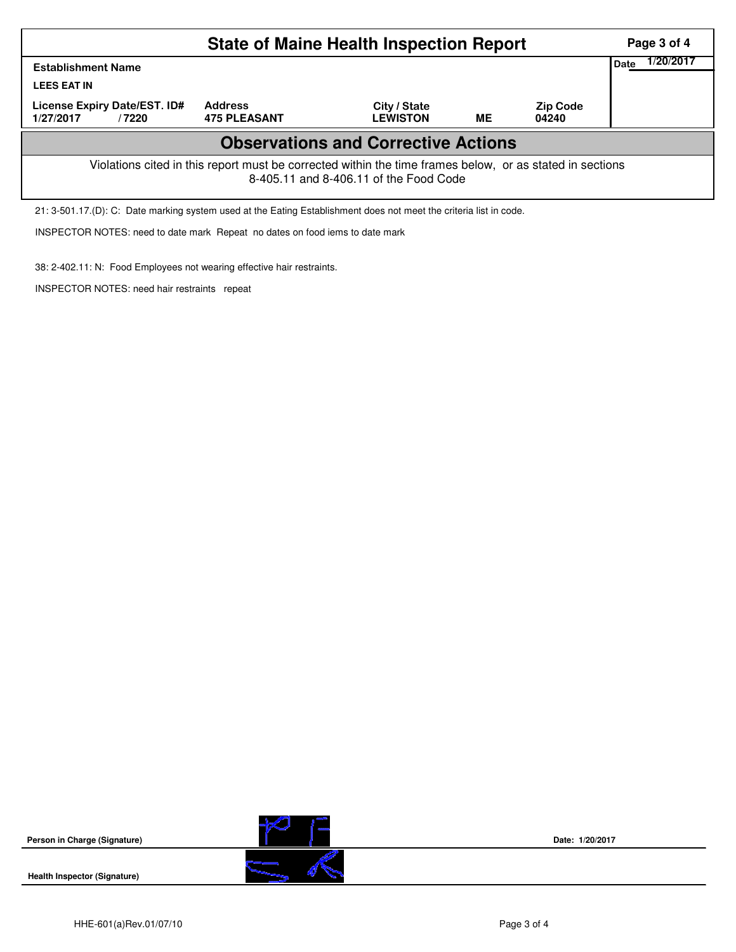|                                                                                                                                                    | Page 3 of 4         |                                 |    |                          |  |  |  |  |  |  |
|----------------------------------------------------------------------------------------------------------------------------------------------------|---------------------|---------------------------------|----|--------------------------|--|--|--|--|--|--|
| <b>Establishment Name</b><br><b>LEES EAT IN</b><br>License Expiry Date/EST. ID#                                                                    | <b>Address</b>      |                                 |    |                          |  |  |  |  |  |  |
| 1/27/2017<br>/7220                                                                                                                                 | <b>475 PLEASANT</b> | City / State<br><b>LEWISTON</b> | ME | <b>Zip Code</b><br>04240 |  |  |  |  |  |  |
| <b>Observations and Corrective Actions</b>                                                                                                         |                     |                                 |    |                          |  |  |  |  |  |  |
| Violations cited in this report must be corrected within the time frames below, or as stated in sections<br>8-405.11 and 8-406.11 of the Food Code |                     |                                 |    |                          |  |  |  |  |  |  |
| 21: 3-501.17.(D): C: Date marking system used at the Eating Establishment does not meet the criteria list in code.                                 |                     |                                 |    |                          |  |  |  |  |  |  |

INSPECTOR NOTES: need to date mark Repeat no dates on food iems to date mark

38: 2-402.11: N: Food Employees not wearing effective hair restraints.

INSPECTOR NOTES: need hair restraints repeat



**Health Inspector (Signature)** 

**Date: 1/20/2017**